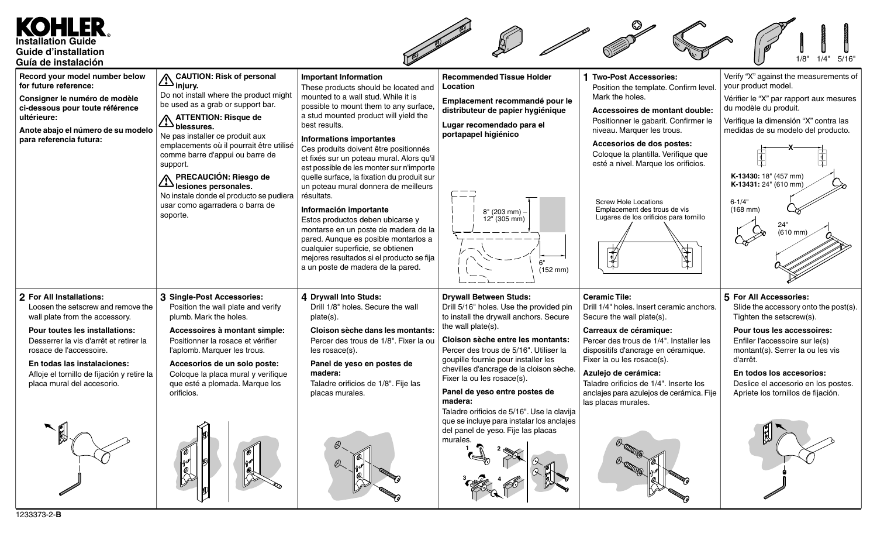## EILER **Installation Guide Guide d'installation**  $1/4"$ **Guía de instalación injury.** Verify "X" against the measurements of **Record your model number below CAUTION: Risk of personal Important Information Recommended Tissue Holder 1 Two-Post Accessories:** your product model. **for future reference:** These products should be located and **Location** Position the template. Confirm level. Do not install where the product might mounted to a wall stud. While it is Mark the holes. **Consigner le numéro de modèle** Vérifier le "X" par rapport aux mesures **Emplacement recommandé pour le** be used as a grab or support bar. possible to mount them to any surface, **ci-dessous pour toute référence** du modèle du produit. **distributeur de papier hygiénique Accessoires de montant double:** a stud mounted product will yield the **ultérieure: ATTENTION: Risque de** Positionner le gabarit. Confirmer le Verifique la dimensión "X" contra las best results. **Lugar recomendado para el blessures. Anote abajo el número de su modelo** niveau. Marquer les trous. medidas de su modelo del producto. **portapapel higiénico** Ne pas installer ce produit aux **para referencia futura: Informations importantes** emplacements où il pourrait être utilisé **Accesorios de dos postes:** Ces produits doivent être positionnés **X** comme barre d'appui ou barre de Coloque la plantilla. Verifique que et fixés sur un poteau mural. Alors qu'il esté a nivel. Marque los orificios. support. est possible de les monter sur n'importe **K-13430:** 18" (457 mm) quelle surface, la fixation du produit sur **PRECAUCIÓN: Riesgo de K-13431:** 24" (610 mm) un poteau mural donnera de meilleurs **lesiones personales.** No instale donde el producto se pudiera résultats. Screw Hole Locations 6-1/4" usar como agarradera o barra de Emplacement des trous de vis **Información importante** (168 mm) 8" (203 mm) – soporte. Lugares de los orificios para tornillo  $12<sup>n</sup>$  (305 mm) Estos productos deben ubicarse y  $24'$ montarse en un poste de madera de la (610 mm) pared. Aunque es posible montarlos a cualquier superficie, se obtienen  $\mathbb{R}$ mejores resultados si el producto se fija 6" a un poste de madera de la pared. (152 mm) **2 For All Installations: 3 Single-Post Accessories: 4 Drywall Into Studs: Drywall Between Studs: Ceramic Tile: 5 For All Accessories:** Loosen the setscrew and remove the Position the wall plate and verify Drill 1/8" holes. Secure the wall Drill 5/16" holes. Use the provided pin Drill 1/4" holes. Insert ceramic anchors. Slide the accessory onto the post(s). wall plate from the accessory. plumb. Mark the holes. plate(s). to install the drywall anchors. Secure Secure the wall plate(s). Tighten the setscrew(s). the wall plate(s). **Pour toutes les installations: Accessoires à montant simple: Cloison sèche dans les montants: Carreaux de céramique: Pour tous les accessoires: Cloison sèche entre les montants:** Desserrer la vis d'arrêt et retirer la Positionner la rosace et vérifier Percer des trous de 1/8". Fixer la ou Percer des trous de 1/4". Installer les Enfiler l'accessoire sur le(s) rosace de l'accessoire. l'aplomb. Marquer les trous. les rosace(s). Percer des trous de 5/16". Utiliser la dispositifs d'ancrage en céramique. montant(s). Serrer la ou les vis Fixer la ou les rosace(s). d'arrêt. goupille fournie pour installer les **En todas las instalaciones: Accesorios de un solo poste: Panel de yeso en postes de** chevilles d'ancrage de la cloison sèche. **Azulejo de cerámica: En todos los accesorios:** Afloje el tornillo de fijación y retire la Coloque la placa mural y verifique **madera:** Fixer la ou les rosace(s). placa mural del accesorio. que esté a plomada. Marque los Taladre orificios de 1/8". Fije las Taladre orificios de 1/4". Inserte los Deslice el accesorio en los postes. **Panel de yeso entre postes de** orificios. placas murales. anclajes para azulejos de cerámica. Fije Apriete los tornillos de fijación. **madera:** las placas murales. Taladre orificios de 5/16". Use la clavija que se incluye para instalar los anclajes del panel de yeso. Fije las placas murales. **1 2**  $3$   $\sqrt{4}$   $\sqrt{4}$